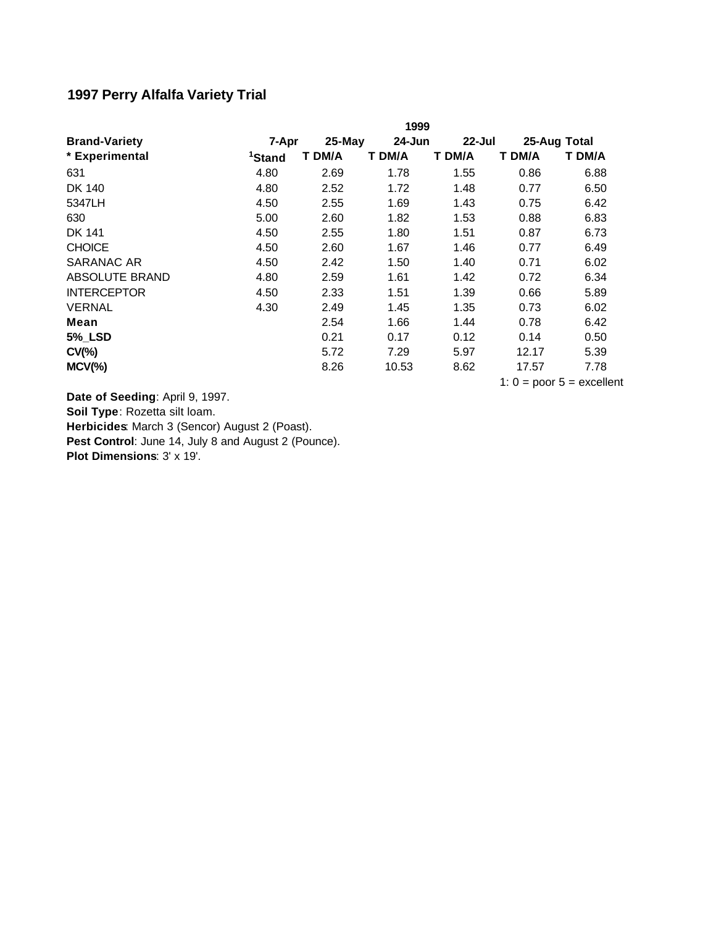## **1997 Perry Alfalfa Variety Trial**

|                       |                    | 1999   |        |                               |              |        |  |
|-----------------------|--------------------|--------|--------|-------------------------------|--------------|--------|--|
| <b>Brand-Variety</b>  | 7-Apr              | 25-May | 24-Jun | $22 - Jul$                    | 25-Aug Total |        |  |
| * Experimental        | <sup>1</sup> Stand | T DM/A | T DM/A | T DM/A                        | T DM/A       | T DM/A |  |
| 631                   | 4.80               | 2.69   | 1.78   | 1.55                          | 0.86         | 6.88   |  |
| DK 140                | 4.80               | 2.52   | 1.72   | 1.48                          | 0.77         | 6.50   |  |
| 5347LH                | 4.50               | 2.55   | 1.69   | 1.43                          | 0.75         | 6.42   |  |
| 630                   | 5.00               | 2.60   | 1.82   | 1.53                          | 0.88         | 6.83   |  |
| DK 141                | 4.50               | 2.55   | 1.80   | 1.51                          | 0.87         | 6.73   |  |
| <b>CHOICE</b>         | 4.50               | 2.60   | 1.67   | 1.46                          | 0.77         | 6.49   |  |
| SARANAC AR            | 4.50               | 2.42   | 1.50   | 1.40                          | 0.71         | 6.02   |  |
| <b>ABSOLUTE BRAND</b> | 4.80               | 2.59   | 1.61   | 1.42                          | 0.72         | 6.34   |  |
| <b>INTERCEPTOR</b>    | 4.50               | 2.33   | 1.51   | 1.39                          | 0.66         | 5.89   |  |
| <b>VERNAL</b>         | 4.30               | 2.49   | 1.45   | 1.35                          | 0.73         | 6.02   |  |
| Mean                  |                    | 2.54   | 1.66   | 1.44                          | 0.78         | 6.42   |  |
| <b>5%_LSD</b>         |                    | 0.21   | 0.17   | 0.12                          | 0.14         | 0.50   |  |
| $CV(\% )$             |                    | 5.72   | 7.29   | 5.97                          | 12.17        | 5.39   |  |
| $MCV(\%)$             |                    | 8.26   | 10.53  | 8.62                          | 17.57        | 7.78   |  |
|                       |                    |        |        | 1: $0 =$ poor $5 =$ excellent |              |        |  |

Pest Control: June 14, July 8 and August 2 (Pounce). **Plot Dimensions**: 3' x 19'. **Date of Seeding**: April 9, 1997. **Soil Type**: Rozetta silt loam. **Herbicides**: March 3 (Sencor) August 2 (Poast).